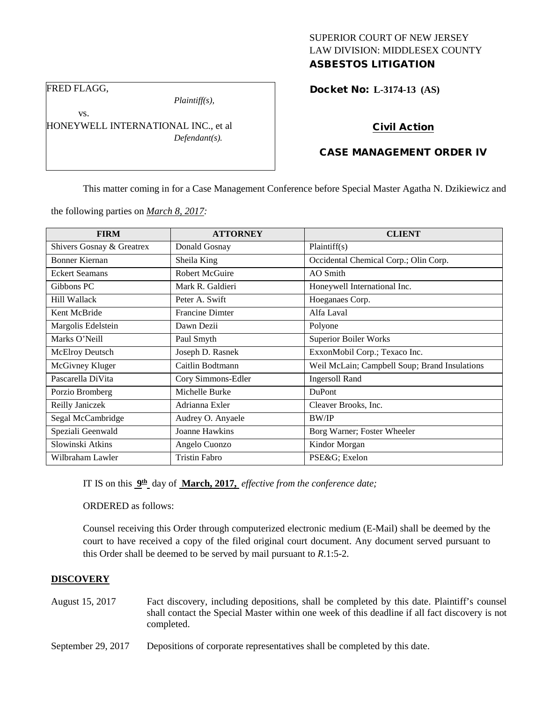# SUPERIOR COURT OF NEW JERSEY LAW DIVISION: MIDDLESEX COUNTY ASBESTOS LITIGATION

FRED FLAGG,

vs.

*Plaintiff(s),*

HONEYWELL INTERNATIONAL INC., et al *Defendant(s).*

Docket No: **L-3174-13 (AS)** 

# Civil Action

# CASE MANAGEMENT ORDER IV

This matter coming in for a Case Management Conference before Special Master Agatha N. Dzikiewicz and

the following parties on *March 8, 2017:*

| <b>FIRM</b>               | <b>ATTORNEY</b>       | <b>CLIENT</b>                                 |
|---------------------------|-----------------------|-----------------------------------------------|
| Shivers Gosnay & Greatrex | Donald Gosnay         | Plaintiff(s)                                  |
| Bonner Kiernan            | Sheila King           | Occidental Chemical Corp.; Olin Corp.         |
| <b>Eckert Seamans</b>     | Robert McGuire        | AO Smith                                      |
| Gibbons PC                | Mark R. Galdieri      | Honeywell International Inc.                  |
| Hill Wallack              | Peter A. Swift        | Hoeganaes Corp.                               |
| Kent McBride              | Francine Dimter       | Alfa Laval                                    |
| Margolis Edelstein        | Dawn Dezii            | Polyone                                       |
| Marks O'Neill             | Paul Smyth            | <b>Superior Boiler Works</b>                  |
| <b>McElroy Deutsch</b>    | Joseph D. Rasnek      | ExxonMobil Corp.; Texaco Inc.                 |
| McGivney Kluger           | Caitlin Bodtmann      | Weil McLain; Campbell Soup; Brand Insulations |
| Pascarella DiVita         | Cory Simmons-Edler    | <b>Ingersoll Rand</b>                         |
| Porzio Bromberg           | Michelle Burke        | <b>DuPont</b>                                 |
| Reilly Janiczek           | Adrianna Exler        | Cleaver Brooks, Inc.                          |
| Segal McCambridge         | Audrey O. Anyaele     | <b>BW/IP</b>                                  |
| Speziali Geenwald         | <b>Joanne Hawkins</b> | Borg Warner; Foster Wheeler                   |
| Slowinski Atkins          | Angelo Cuonzo         | Kindor Morgan                                 |
| Wilbraham Lawler          | <b>Tristin Fabro</b>  | PSE&G Exelon                                  |

IT IS on this **9th** day of **March, 2017,** *effective from the conference date;*

ORDERED as follows:

Counsel receiving this Order through computerized electronic medium (E-Mail) shall be deemed by the court to have received a copy of the filed original court document. Any document served pursuant to this Order shall be deemed to be served by mail pursuant to *R*.1:5-2.

#### **DISCOVERY**

- August 15, 2017 Fact discovery, including depositions, shall be completed by this date. Plaintiff's counsel shall contact the Special Master within one week of this deadline if all fact discovery is not completed.
- September 29, 2017 Depositions of corporate representatives shall be completed by this date.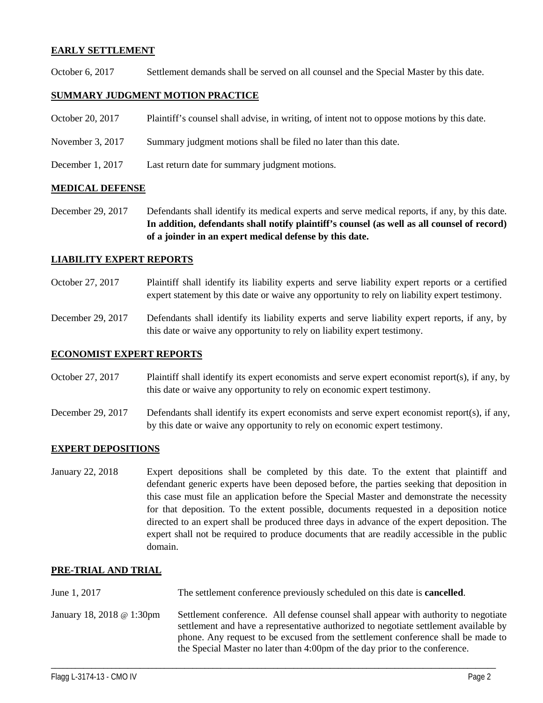#### **EARLY SETTLEMENT**

October 6, 2017 Settlement demands shall be served on all counsel and the Special Master by this date.

# **SUMMARY JUDGMENT MOTION PRACTICE**

- October 20, 2017 Plaintiff's counsel shall advise, in writing, of intent not to oppose motions by this date.
- November 3, 2017 Summary judgment motions shall be filed no later than this date.
- December 1, 2017 Last return date for summary judgment motions.

#### **MEDICAL DEFENSE**

December 29, 2017 Defendants shall identify its medical experts and serve medical reports, if any, by this date. **In addition, defendants shall notify plaintiff's counsel (as well as all counsel of record) of a joinder in an expert medical defense by this date.**

#### **LIABILITY EXPERT REPORTS**

- October 27, 2017 Plaintiff shall identify its liability experts and serve liability expert reports or a certified expert statement by this date or waive any opportunity to rely on liability expert testimony.
- December 29, 2017 Defendants shall identify its liability experts and serve liability expert reports, if any, by this date or waive any opportunity to rely on liability expert testimony.

#### **ECONOMIST EXPERT REPORTS**

- October 27, 2017 Plaintiff shall identify its expert economists and serve expert economist report(s), if any, by this date or waive any opportunity to rely on economic expert testimony.
- December 29, 2017 Defendants shall identify its expert economists and serve expert economist report(s), if any, by this date or waive any opportunity to rely on economic expert testimony.

# **EXPERT DEPOSITIONS**

January 22, 2018 Expert depositions shall be completed by this date. To the extent that plaintiff and defendant generic experts have been deposed before, the parties seeking that deposition in this case must file an application before the Special Master and demonstrate the necessity for that deposition. To the extent possible, documents requested in a deposition notice directed to an expert shall be produced three days in advance of the expert deposition. The expert shall not be required to produce documents that are readily accessible in the public domain.

# **PRE-TRIAL AND TRIAL**

June 1, 2017 The settlement conference previously scheduled on this date is **cancelled**. January 18, 2018 @ 1:30pm Settlement conference. All defense counsel shall appear with authority to negotiate settlement and have a representative authorized to negotiate settlement available by phone. Any request to be excused from the settlement conference shall be made to the Special Master no later than 4:00pm of the day prior to the conference.

\_\_\_\_\_\_\_\_\_\_\_\_\_\_\_\_\_\_\_\_\_\_\_\_\_\_\_\_\_\_\_\_\_\_\_\_\_\_\_\_\_\_\_\_\_\_\_\_\_\_\_\_\_\_\_\_\_\_\_\_\_\_\_\_\_\_\_\_\_\_\_\_\_\_\_\_\_\_\_\_\_\_\_\_\_\_\_\_\_\_\_\_\_\_\_\_\_\_\_\_\_\_\_\_\_\_\_\_\_\_